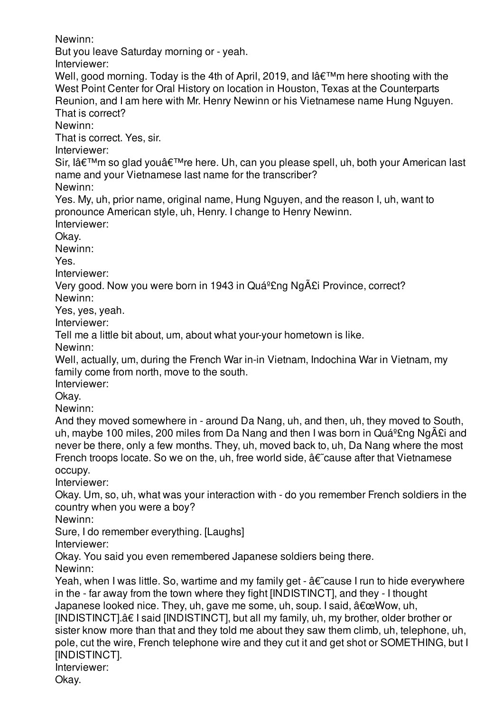Newinn:

But you leave Saturday morning or - yeah.

Interviewer:

Well, good morning. Today is the 4th of April, 2019, and  $\hat{A} \in \mathbb{M}$ m here shooting with the West Point Center for Oral History on location in Houston, Texas at the Counterparts Reunion, and I am here with Mr. Henry Newinn or his Vietnamese name Hung Nguyen. That is correct?

Newinn:

That is correct. Yes, sir.

Interviewer:

Sir, lâ€<sup>™</sup>m so glad you're here. Uh, can you please spell, uh, both your American last name and your Vietnamese last name for the transcriber?

Newinn:

Yes. My, uh, prior name, original name, Hung Nguyen, and the reason I, uh, want to pronounce American style, uh, Henry. I change to Henry Newinn.

Interviewer:

Okay.

Newinn:

Yes.

Interviewer:

Very good. Now you were born in 1943 in Quá<sup>o</sup>£ng Ngãi Province, correct? Newinn:

Yes, yes, yeah.

Interviewer:

Tell me a little bit about, um, about what your-your hometown is like.

Newinn:

Well, actually, um, during the French War in-in Vietnam, Indochina War in Vietnam, my family come from north, move to the south.

Interviewer:

Okay.

Newinn:

And they moved somewhere in - around Da Nang, uh, and then, uh, they moved to South, uh, maybe 100 miles, 200 miles from Da Nang and then I was born in Quá $^{9}$ £ng Ngãi and never be there, only a few months. They, uh, moved back to, uh, Da Nang where the most French troops locate. So we on the, uh, free world side,  $\hat{a} \in \hat{c}$  cause after that Vietnamese occupy.

Interviewer:

Okay. Um, so, uh, what was your interaction with - do you remember French soldiers in the country when you were a boy?

Newinn:

Sure, I do remember everything. [Laughs]

Interviewer:

Okay. You said you even remembered Japanese soldiers being there.

Newinn:

Yeah, when I was little. So, wartime and my family get -  $\hat{a}\hat{\epsilon}$  cause I run to hide everywhere in the - far away from the town where they fight [INDISTINCT], and they - I thought Japanese looked nice. They, uh, gave me some, uh, soup. I said,  $\hat{a} \in \mathbb{C}$ Wow, uh, [INDISTINCT].â€ I said [INDISTINCT], but all my family, uh, my brother, older brother or sister know more than that and they told me about they saw them climb, uh, telephone, uh, pole, cut the wire, French telephone wire and they cut it and get shot or SOMETHING, but I [INDISTINCT].

Interviewer:

Okay.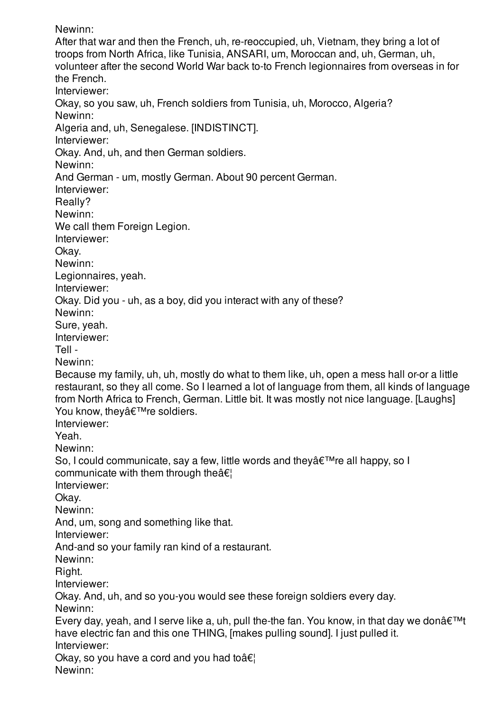Newinn:

After that war and then the French, uh, re-reoccupied, uh, Vietnam, they bring a lot of troops from North Africa, like Tunisia, ANSARI, um, Moroccan and, uh, German, uh, volunteer after the second World War back to-to French legionnaires from overseas in for the French. Interviewer: Okay, so you saw, uh, French soldiers from Tunisia, uh, Morocco, Algeria? Newinn: Algeria and, uh, Senegalese. [INDISTINCT]. Interviewer: Okay. And, uh, and then German soldiers. Newinn: And German - um, mostly German. About 90 percent German. Interviewer: Really? Newinn: We call them Foreign Legion. Interviewer: Okay. Newinn: Legionnaires, yeah. Interviewer: Okay. Did you - uh, as a boy, did you interact with any of these? Newinn: Sure, yeah. Interviewer: Tell - Newinn: Because my family, uh, uh, mostly do what to them like, uh, open a mess hall or-or a little restaurant, so they all come. So I learned a lot of language from them, all kinds of language from North Africa to French, German. Little bit. It was mostly not nice language. [Laughs] You know, they're soldiers. Interviewer: Yeah. Newinn: So, I could communicate, say a few, little words and they  $\hat{\mathbf{a}} \in \mathbb{R}^{m}$  re all happy, so I communicate with them through the  $\hat{\mathbf{a}} \in \mathbb{R}$ Interviewer: Okay. Newinn: And, um, song and something like that. Interviewer: And-and so your family ran kind of a restaurant. Newinn: Right. Interviewer: Okay. And, uh, and so you-you would see these foreign soldiers every day. Newinn: Every day, yeah, and I serve like a, uh, pull the-the fan. You know, in that day we donâ $\epsilon^{\text{TM}}$ have electric fan and this one THING, [makes pulling sound]. I just pulled it. Interviewer: Okay, so you have a cord and you had to  $\hat{\mathbf{a}} \in \mathbb{R}^n$ Newinn: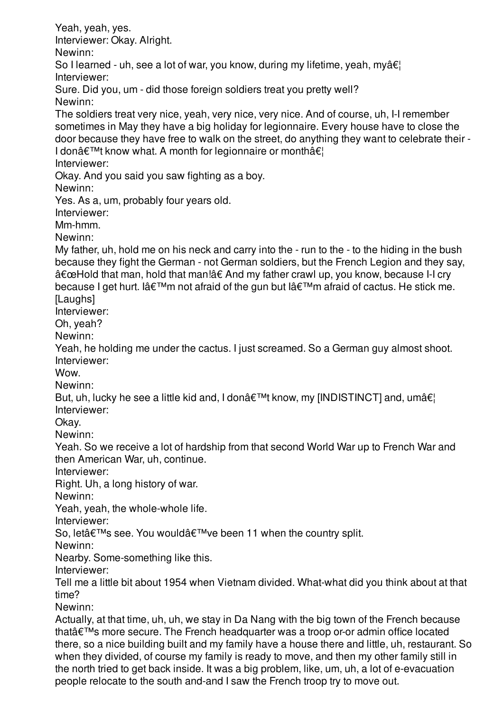Yeah, yeah, yes. Interviewer: Okay. Alright. Newinn: So I learned - uh, see a lot of war, you know, during my lifetime, yeah, myâ $\epsilon$ ! Interviewer: Sure. Did you, um - did those foreign soldiers treat you pretty well? Newinn: The soldiers treat very nice, yeah, very nice, very nice. And of course, uh, I-I remember sometimes in May they have a big holiday for legionnaire. Every house have to close the door because they have free to walk on the street, do anything they want to celebrate their - I don $\hat{a} \in \text{TM}$  know what. A month for legionnaire or month $\hat{a} \in \text{TM}$ Interviewer: Okay. And you said you saw fighting as a boy. Newinn: Yes. As a, um, probably four years old. Interviewer: Mm-hmm. Newinn: My father, uh, hold me on his neck and carry into the - run to the - to the hiding in the bush because they fight the German - not German soldiers, but the French Legion and they say, "Hold that man, hold that man!†And my father crawl up, you know, because I-I cry because I get hurt. I a $\epsilon$ <sup>TM</sup>m not afraid of the gun but I a $\epsilon$ <sup>TM</sup>m afraid of cactus. He stick me. [Laughs] Interviewer: Oh, yeah? Newinn: Yeah, he holding me under the cactus. I just screamed. So a German guy almost shoot. Interviewer: Wow. Newinn: But, uh, lucky he see a little kid and, I donâ $\epsilon^{\text{TM}}$ t know, my [INDISTINCT] and, umâ $\epsilon$ ] Interviewer: Okay. Newinn: Yeah. So we receive a lot of hardship from that second World War up to French War and then American War, uh, continue. Interviewer: Right. Uh, a long history of war. Newinn: Yeah, yeah, the whole-whole life. Interviewer: So, let's see. You would've been 11 when the country split. Newinn: Nearby. Some-something like this. Interviewer: Tell me a little bit about 1954 when Vietnam divided. What-what did you think about at that time? Newinn: Actually, at that time, uh, uh, we stay in Da Nang with the big town of the French because that $\hat{a} \in \mathbb{M}$ s more secure. The French headquarter was a troop or-or admin office located there, so a nice building built and my family have a house there and little, uh, restaurant. So when they divided, of course my family is ready to move, and then my other family still in the north tried to get back inside. It was a big problem, like, um, uh, a lot of e-evacuation

people relocate to the south and-and I saw the French troop try to move out.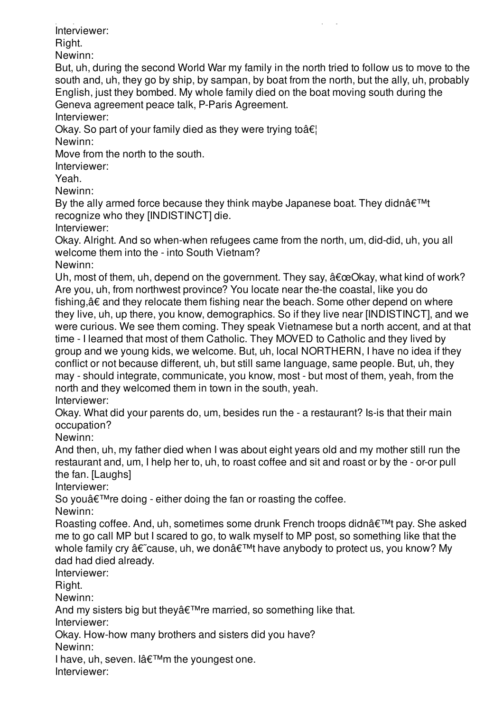people relocate to the south and-and I saw the French troop try to move out. Interviewer:

Right.

Newinn:

But, uh, during the second World War my family in the north tried to follow us to move to the south and, uh, they go by ship, by sampan, by boat from the north, but the ally, uh, probably English, just they bombed. My whole family died on the boat moving south during the Geneva agreement peace talk, P-Paris Agreement.

Interviewer:

Okay. So part of your family died as they were trying to  $\hat{\alpha} \in \mathcal{C}$ 

Newinn:

Move from the north to the south.

Interviewer:

Yeah.

Newinn:

By the ally armed force because they think maybe Japanese boat. They didn $\hat{a} \in \mathbb{M}$ t recognize who they [INDISTINCT] die.

Interviewer:

Okay. Alright. And so when-when refugees came from the north, um, did-did, uh, you all welcome them into the - into South Vietnam?

Newinn:

Uh, most of them, uh, depend on the government. They say,  $\hat{a} \in \mathbb{C}$ Ckay, what kind of work? Are you, uh, from northwest province? You locate near the-the coastal, like you do fishing,â€ and they relocate them fishing near the beach. Some other depend on where they live, uh, up there, you know, demographics. So if they live near [INDISTINCT], and we were curious. We see them coming. They speak Vietnamese but a north accent, and at that time - I learned that most of them Catholic. They MOVED to Catholic and they lived by group and we young kids, we welcome. But, uh, local NORTHERN, I have no idea if they conflict or not because different, uh, but still same language, same people. But, uh, they may - should integrate, communicate, you know, most - but most of them, yeah, from the north and they welcomed them in town in the south, yeah. Interviewer:

Okay. What did your parents do, um, besides run the - a restaurant? Is-is that their main occupation?

Newinn:

And then, uh, my father died when I was about eight years old and my mother still run the restaurant and, um, I help her to, uh, to roast coffee and sit and roast or by the - or-or pull the fan. [Laughs]

Interviewer:

So you $\hat{\mathbf{a}} \in \mathbb{M}$  redoing - either doing the fan or roasting the coffee.

Newinn:

Roasting coffee. And, uh, sometimes some drunk French troops didn't pay. She asked me to go call MP but I scared to go, to walk myself to MP post, so something like that the whole family cry †cause, uh, we don't have anybody to protect us, you know? My dad had died already.

Interviewer:

Right.

Newinn:

And my sisters big but they $\hat{a} \in \mathbb{M}$  are married, so something like that. Interviewer:

Okay. How-how many brothers and sisters did you have?

Newinn:

I have, uh, seven. I $\hat{a} \in \mathbb{M}$ m the youngest one.

Interviewer: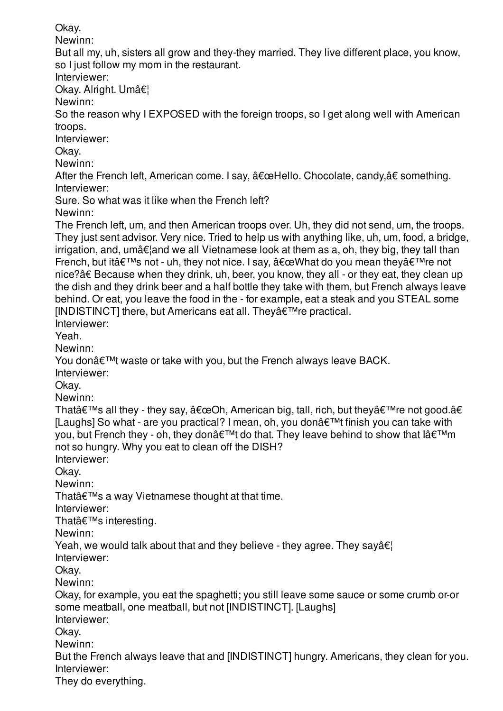Okay. Newinn: But all my, uh, sisters all grow and they-they married. They live different place, you know, so I just follow my mom in the restaurant. Interviewer: Okav. Alright. Umâ€! Newinn: So the reason why I EXPOSED with the foreign troops, so I get along well with American troops. Interviewer: Okay. Newinn: After the French left, American come. I say,  $"Hello. Chocolate, candy,†something.$ Interviewer: Sure. So what was it like when the French left? Newinn: The French left, um, and then American troops over. Uh, they did not send, um, the troops. They just sent advisor. Very nice. Tried to help us with anything like, uh, um, food, a bridge,  $irri$ gation, and, umâ $\epsilon$  and we all Vietnamese look at them as a, oh, they big, they tall than French, but it $\hat{\mathbf{a}} \in \mathbb{M}$ s not - uh, they not nice. I say,  $\hat{\mathbf{a}} \in \mathbb{C}$ What do you mean they $\hat{\mathbf{a}} \in \mathbb{M}$ re not nice?â€ Because when they drink, uh, beer, you know, they all - or they eat, they clean up the dish and they drink beer and a half bottle they take with them, but French always leave behind. Or eat, you leave the food in the - for example, eat a steak and you STEAL some  $[INDISTINCT]$  there, but Americans eat all. They $\hat{a} \in T^M$ re practical. Interviewer: Yeah. Newinn: You don $\hat{\mathbf{a}} \in \mathbb{M}$  waste or take with you, but the French always leave BACK. Interviewer: Okay. Newinn: That $\hat{\mathbf{a}} \in \mathbb{M}$ s all they - they say,  $\hat{\mathbf{a}} \in \mathbb{C}$ Oh, American big, tall, rich, but they $\hat{\mathbf{a}} \in \mathbb{M}$ re not good. $\hat{\mathbf{a}} \in \mathbb{C}$ [Laughs] So what - are you practical? I mean, oh, you don $\hat{a} \in \mathbb{M}$  finish you can take with you, but French they - oh, they don $\hat{\mathbf{a}} \in \mathbb{M}$ t do that. They leave behind to show that  $\hat{\mathbf{a}} \in \mathbb{M}$ m not so hungry. Why you eat to clean off the DISH? Interviewer: Okay. Newinn: That $\hat{\mathbf{a}} \in \mathbb{M}$ s a way Vietnamese thought at that time. Interviewer: That's interesting. Newinn: Yeah, we would talk about that and they believe - they agree. They say  $\hat{\mathbf{a}} \in \mathbb{R}$ Interviewer: Okay. Newinn: Okay, for example, you eat the spaghetti; you still leave some sauce or some crumb or-or some meatball, one meatball, but not [INDISTINCT]. [Laughs] Interviewer: Okay. Newinn: But the French always leave that and [INDISTINCT] hungry. Americans, they clean for you. Interviewer:

They do everything.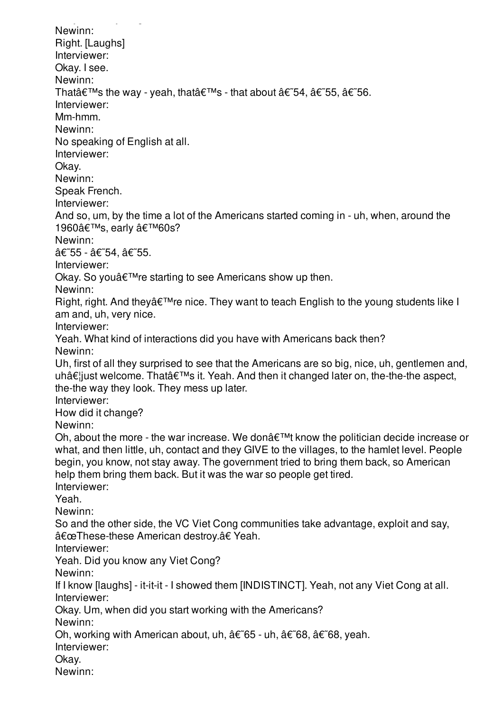They do everything. Newinn: Right. [Laughs] Interviewer: Okay. I see. Newinn: That $\hat{\mathbf{a}} \in \mathbb{M}$ s the way - yeah, that $\hat{\mathbf{a}} \in \mathbb{M}$ s - that about  $\hat{\mathbf{a}} \in \mathbb{M}$ ,  $\hat{\mathbf{a}} \in \mathbb{M}$ 55,  $\hat{\mathbf{a}} \in \mathbb{M}$ 56. Interviewer: Mm-hmm. Newinn: No speaking of English at all. Interviewer: Okay. Newinn: Speak French. Interviewer: And so, um, by the time a lot of the Americans started coming in - uh, when, around the 1960's, early '60s? Newinn: â€~55 - â€~54, â€~55. Interviewer: Okay. So you a€™ re starting to see Americans show up then. Newinn: Right, right. And they  $\hat{\mathcal{E}}^{\text{TM}}$  re nice. They want to teach English to the young students like I am and, uh, very nice. Interviewer: Yeah. What kind of interactions did you have with Americans back then? Newinn: Uh, first of all they surprised to see that the Americans are so big, nice, uh, gentlemen and, uh…just welcome. That's it. Yeah. And then it changed later on, the-the-the aspect, the-the way they look. They mess up later. Interviewer: How did it change? Newinn: Oh, about the more - the war increase. We don $\hat{\mathbf{a}} \in \mathbb{R}^{n}$  know the politician decide increase or what, and then little, uh, contact and they GIVE to the villages, to the hamlet level. People begin, you know, not stay away. The government tried to bring them back, so American help them bring them back. But it was the war so people get tired. Interviewer: Yeah. Newinn: So and the other side, the VC Viet Cong communities take advantage, exploit and say, "These-these American destroy.†Yeah. Interviewer: Yeah. Did you know any Viet Cong? Newinn: If I know [laughs] - it-it-it - I showed them [INDISTINCT]. Yeah, not any Viet Cong at all. Interviewer: Okay. Um, when did you start working with the Americans? Newinn: Oh, working with American about, uh,  $\hat{a}\in \mathcal{E}$ 65 - uh,  $\hat{a}\in \mathcal{E}$ 68,  $\hat{a}\in \mathcal{E}$ 68, yeah. Interviewer: Okay. Newinn: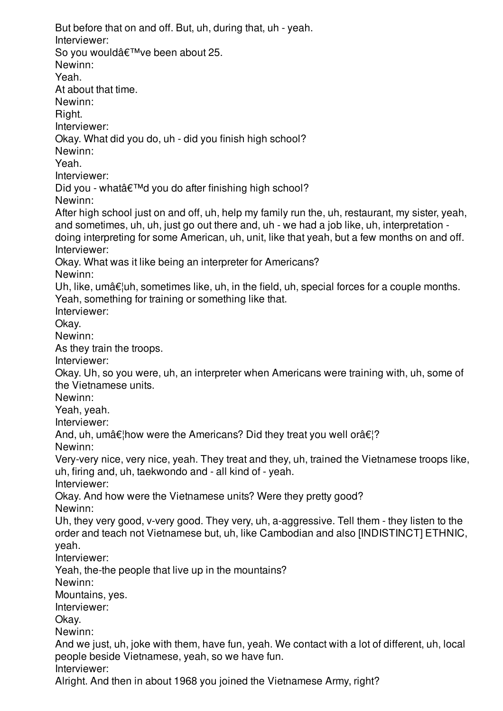But before that on and off. But, uh, during that, uh - yeah. Interviewer: So you would've been about 25. Newinn: Yeah. At about that time. Newinn: Right. Interviewer: Okay. What did you do, uh - did you finish high school? Newinn: Yeah. Interviewer: Did you - what'd you do after finishing high school? Newinn: After high school just on and off, uh, help my family run the, uh, restaurant, my sister, yeah, and sometimes, uh, uh, just go out there and, uh - we had a job like, uh, interpretation doing interpreting for some American, uh, unit, like that yeah, but a few months on and off. Interviewer: Okay. What was it like being an interpreter for Americans? Newinn: Uh, like, umâ $\epsilon$ ¦uh, sometimes like, uh, in the field, uh, special forces for a couple months. Yeah, something for training or something like that. Interviewer: Okay. Newinn: As they train the troops. Interviewer: Okay. Uh, so you were, uh, an interpreter when Americans were training with, uh, some of the Vietnamese units. Newinn: Yeah, yeah. Interviewer: And, uh, umâ $\notin$ how were the Americans? Did they treat you well orâ $\notin$ ? Newinn: Very-very nice, very nice, yeah. They treat and they, uh, trained the Vietnamese troops like, uh, firing and, uh, taekwondo and - all kind of - yeah. Interviewer: Okay. And how were the Vietnamese units? Were they pretty good? Newinn: Uh, they very good, v-very good. They very, uh, a-aggressive. Tell them - they listen to the order and teach not Vietnamese but, uh, like Cambodian and also [INDISTINCT] ETHNIC, yeah. Interviewer: Yeah, the-the people that live up in the mountains? Newinn: Mountains, yes. Interviewer: Okay. Newinn: And we just, uh, joke with them, have fun, yeah. We contact with a lot of different, uh, local people beside Vietnamese, yeah, so we have fun. Interviewer: Alright. And then in about 1968 you joined the Vietnamese Army, right?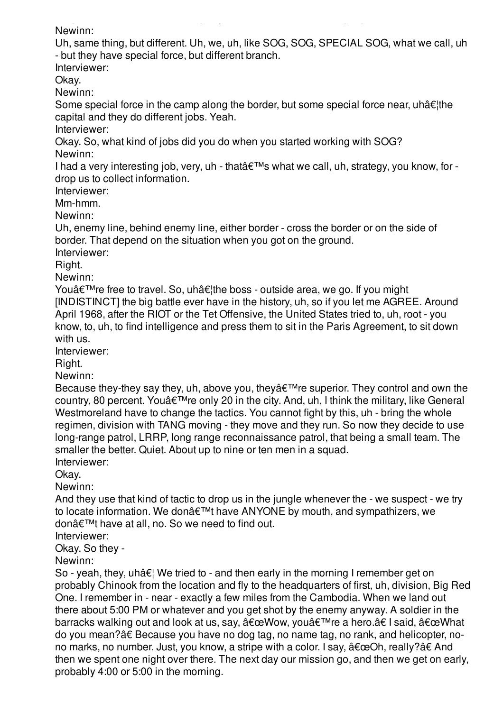Alright. And then in about 1968 you joined the Vietnamese Army, right? Newinn:

Uh, same thing, but different. Uh, we, uh, like SOG, SOG, SPECIAL SOG, what we call, uh - but they have special force, but different branch.

Interviewer:

Okay.

Newinn:

Some special force in the camp along the border, but some special force near, uhâ $\epsilon$ <sup>the</sup> capital and they do different jobs. Yeah.

Interviewer:

Okay. So, what kind of jobs did you do when you started working with SOG? Newinn:

I had a very interesting job, very, uh - that  $\hat{a} \in \mathbb{M}$ s what we call, uh, strategy, you know, for drop us to collect information.

Interviewer:

Mm-hmm.

Newinn:

Uh, enemy line, behind enemy line, either border - cross the border or on the side of border. That depend on the situation when you got on the ground.

Interviewer:

Right.

Newinn:

You're free to travel. So, uh…the boss - outside area, we go. If you might [INDISTINCT] the big battle ever have in the history, uh, so if you let me AGREE. Around April 1968, after the RIOT or the Tet Offensive, the United States tried to, uh, root - you know, to, uh, to find intelligence and press them to sit in the Paris Agreement, to sit down with us.

Interviewer:

Right.

Newinn:

Because they-they say they, uh, above you, they  $\hat{\theta} \in \mathbb{R}^n$  superior. They control and own the country, 80 percent. You  $\hat{\alpha} \in \mathbb{R}^n$  re only 20 in the city. And, uh, I think the military, like General Westmoreland have to change the tactics. You cannot fight by this, uh - bring the whole regimen, division with TANG moving - they move and they run. So now they decide to use long-range patrol, LRRP, long range reconnaissance patrol, that being a small team. The smaller the better. Quiet. About up to nine or ten men in a squad.

Interviewer:

Okay.

Newinn:

And they use that kind of tactic to drop us in the jungle whenever the - we suspect - we try to locate information. We don't have ANYONE by mouth, and sympathizers, we don't have at all, no. So we need to find out.

Interviewer:

Okay. So they -

Newinn:

So - yeah, they, uhâ $\epsilon$ ! We tried to - and then early in the morning I remember get on probably Chinook from the location and fly to the headquarters of first, uh, division, Big Red One. I remember in - near - exactly a few miles from the Cambodia. When we land out there about 5:00 PM or whatever and you get shot by the enemy anyway. A soldier in the barracks walking out and look at us, say,  $\hat{a} \in \mathbb{C}$ Wow, you $\hat{a} \in \mathbb{T}^M$ re a hero. $\hat{a} \in \mathbb{C}$  I said,  $\hat{a} \in \mathbb{C}$ What do you mean?â€ Because you have no dog tag, no name tag, no rank, and helicopter, nono marks, no number. Just, you know, a stripe with a color. I say,  $"Oh, really?†And$ then we spent one night over there. The next day our mission go, and then we get on early, probably 4:00 or 5:00 in the morning.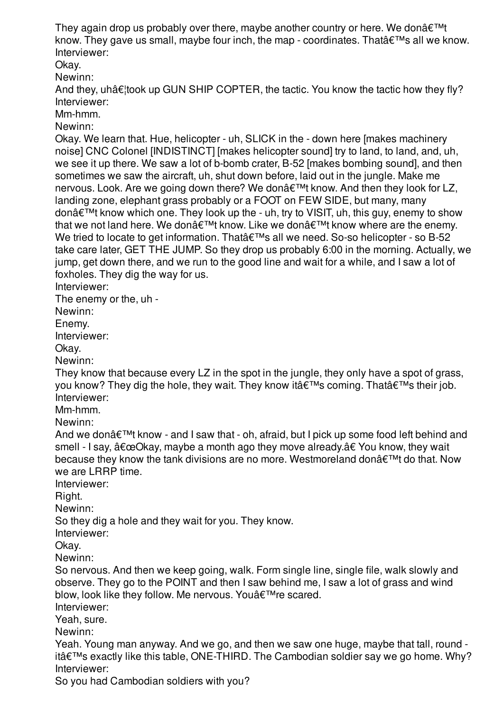They again drop us probably over there, maybe another country or here. We don $\hat{\epsilon}^{\text{TM}}$ know. They gave us small, maybe four inch, the map - coordinates. That  $\hat{\theta} \in \mathbb{N}$ s all we know. Interviewer:

Okay.

Newinn:

And they, uhâ $\varepsilon$  took up GUN SHIP COPTER, the tactic. You know the tactic how they fly? Interviewer:

Mm-hmm.

Newinn:

Okay. We learn that. Hue, helicopter - uh, SLICK in the - down here [makes machinery noise] CNC Colonel [INDISTINCT] [makes helicopter sound] try to land, to land, and, uh, we see it up there. We saw a lot of b-bomb crater, B-52 [makes bombing sound], and then sometimes we saw the aircraft, uh, shut down before, laid out in the jungle. Make me nervous. Look. Are we going down there? We donâ€<sup>™†</sup>t know. And then they look for LZ, landing zone, elephant grass probably or a FOOT on FEW SIDE, but many, many donâ€<sup>™†</sup> know which one. They look up the - uh, try to VISIT, uh, this guy, enemy to show that we not land here. We don $\hat{\mathbf{a}} \in \mathbb{M}$ t know. Like we don $\hat{\mathbf{a}} \in \mathbb{M}$ t know where are the enemy. We tried to locate to get information. That  $\hat{\epsilon}$ <sup>TM</sup>s all we need. So-so helicopter - so B-52 take care later, GET THE JUMP. So they drop us probably 6:00 in the morning. Actually, we jump, get down there, and we run to the good line and wait for a while, and I saw a lot of foxholes. They dig the way for us.

Interviewer:

The enemy or the, uh -

Newinn:

Enemy.

Interviewer:

Okay.

Newinn:

They know that because every LZ in the spot in the jungle, they only have a spot of grass, you know? They dig the hole, they wait. They know it  $\hat{\mathbf{a}} \in \mathbb{M}$ s coming. That  $\hat{\mathbf{a}} \in \mathbb{M}$ s their job. Interviewer:

Mm-hmm.

Newinn:

And we don $\hat{a} \in \mathbb{M}$ t know - and I saw that - oh, afraid, but I pick up some food left behind and smell - I say, "Okay, maybe a month ago they move already.†You know, they wait because they know the tank divisions are no more. Westmoreland don $\hat{\mathbf{a}} \in \mathbb{M}$ t do that. Now we are LRRP time.

Interviewer:

Right.

Newinn:

So they dig a hole and they wait for you. They know.

Interviewer:

Okay.

Newinn:

So nervous. And then we keep going, walk. Form single line, single file, walk slowly and observe. They go to the POINT and then I saw behind me, I saw a lot of grass and wind blow, look like they follow. Me nervous. You a€™re scared.

Interviewer:

Yeah, sure.

Newinn:

Yeah. Young man anyway. And we go, and then we saw one huge, maybe that tall, round it's exactly like this table, ONE-THIRD. The Cambodian soldier say we go home. Why? Interviewer:

So you had Cambodian soldiers with you?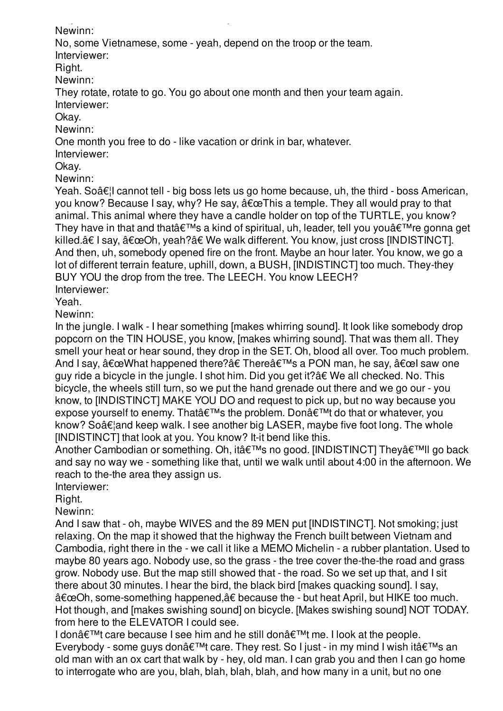So you had Cambodian soldiers with you? Newinn:

No, some Vietnamese, some - yeah, depend on the troop or the team.

Interviewer:

Right.

Newinn:

They rotate, rotate to go. You go about one month and then your team again. Interviewer:

Okay.

Newinn:

One month you free to do - like vacation or drink in bar, whatever.

Interviewer:

Okay.

Newinn:

Yeah. So $\hat{a} \in I$  cannot tell - big boss lets us go home because, uh, the third - boss American, you know? Because I say, why? He say,  $\hat{a} \in \mathbb{C}$ This a temple. They all would pray to that animal. This animal where they have a candle holder on top of the TURTLE, you know? They have in that and that  $\hat{\epsilon}^{\text{TM}}$ s a kind of spiritual, uh, leader, tell you you $\hat{\epsilon}^{\text{TM}}$ re gonna get killed.†I say, "Oh, yeah?†We walk different. You know, just cross [INDISTINCT]. And then, uh, somebody opened fire on the front. Maybe an hour later. You know, we go a lot of different terrain feature, uphill, down, a BUSH, [INDISTINCT] too much. They-they BUY YOU the drop from the tree. The LEECH. You know LEECH? Interviewer:

Yeah.

Newinn:

In the jungle. I walk - I hear something [makes whirring sound]. It look like somebody drop popcorn on the TIN HOUSE, you know, [makes whirring sound]. That was them all. They smell your heat or hear sound, they drop in the SET. Oh, blood all over. Too much problem. And I say,  $\hat{a} \in \text{ceWhat}$  happened there? $\hat{a} \in \text{There}$  a PON man, he say,  $\hat{a} \in \text{ceU}$  saw one guy ride a bicycle in the jungle. I shot him. Did you get it?â€ We all checked. No. This bicycle, the wheels still turn, so we put the hand grenade out there and we go our - you know, to [INDISTINCT] MAKE YOU DO and request to pick up, but no way because you expose yourself to enemy. That  $\hat{\epsilon}^{\text{TM}}$ s the problem. Don $\hat{\epsilon}^{\text{TM}}$ t do that or whatever, you know? So $\hat{\mathcal{A}}\epsilon$  and keep walk. I see another big LASER, maybe five foot long. The whole [INDISTINCT] that look at you. You know? It-it bend like this.

Another Cambodian or something. Oh, it's no good. [INDISTINCT] Thev'II go back and say no way we - something like that, until we walk until about 4:00 in the afternoon. We reach to the-the area they assign us.

Interviewer:

Right.

Newinn:

And I saw that - oh, maybe WIVES and the 89 MEN put [INDISTINCT]. Not smoking; just relaxing. On the map it showed that the highway the French built between Vietnam and Cambodia, right there in the - we call it like a MEMO Michelin - a rubber plantation. Used to maybe 80 years ago. Nobody use, so the grass - the tree cover the-the-the road and grass grow. Nobody use. But the map still showed that - the road. So we set up that, and I sit there about 30 minutes. I hear the bird, the black bird [makes quacking sound]. I say, "Oh, some-something happened,†because the - but heat April, but HIKE too much. Hot though, and [makes swishing sound] on bicycle. [Makes swishing sound] NOT TODAY. from here to the ELEVATOR I could see.

I don't care because I see him and he still don't me. I look at the people. Everybody - some guys donâ $\epsilon^{TM}$ t care. They rest. So I just - in my mind I wish itâ $\epsilon^{TM}$ s an old man with an ox cart that walk by - hey, old man. I can grab you and then I can go home to interrogate who are you, blah, blah, blah, blah, and how many in a unit, but no one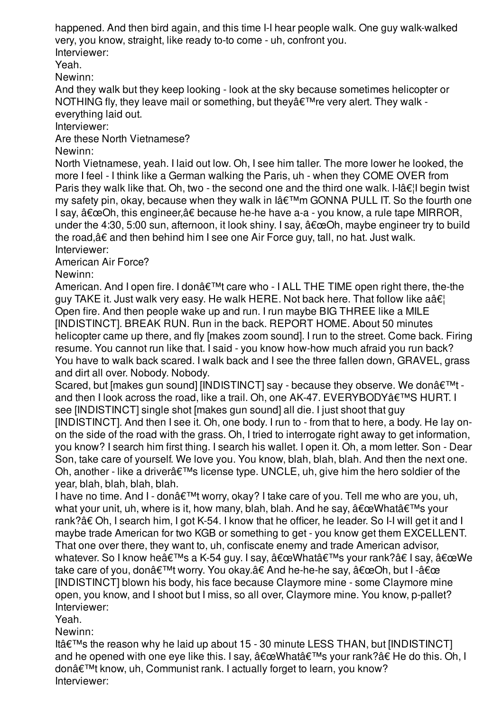happened. And then bird again, and this time I-I hear people walk. One guy walk-walked very, you know, straight, like ready to-to come - uh, confront you. Interviewer:

Yeah.

Newinn:

And they walk but they keep looking - look at the sky because sometimes helicopter or NOTHING fly, they leave mail or something, but they're very alert. They walk everything laid out.

Interviewer:

Are these North Vietnamese?

Newinn:

North Vietnamese, yeah. I laid out low. Oh, I see him taller. The more lower he looked, the more I feel - I think like a German walking the Paris, uh - when they COME OVER from Paris they walk like that. Oh, two - the second one and the third one walk. I-lâ $\epsilon$ ! begin twist  $mv$  safety pin, okay, because when they walk in  $I\hat{a} \in \mathbb{M}$ m GONNA PULL IT. So the fourth one I say,  $â€ceOh$ , this engineer,†because he-he have a-a - you know, a rule tape MIRROR, under the 4:30, 5:00 sun, afternoon, it look shiny. I say,  $\hat{a} \in \mathbb{C}$ Oh, maybe engineer try to build the road,â€ and then behind him I see one Air Force guy, tall, no hat. Just walk. Interviewer:

American Air Force?

Newinn:

American. And I open fire. I don $\hat{\mathbf{a}} \in \mathbb{M}$  care who - I ALL THE TIME open right there, the-the guy TAKE it. Just walk very easy. He walk HERE. Not back here. That follow like a  $\hat{a}\hat{\epsilon}$ Open fire. And then people wake up and run. I run maybe BIG THREE like a MILE [INDISTINCT]. BREAK RUN. Run in the back. REPORT HOME. About 50 minutes helicopter came up there, and fly [makes zoom sound]. I run to the street. Come back. Firing resume. You cannot run like that. I said - you know how-how much afraid you run back? You have to walk back scared. I walk back and I see the three fallen down, GRAVEL, grass and dirt all over. Nobody. Nobody.

Scared, but Imakes gun sound] IINDISTINCTI say - because they observe. We donâ€<sup>™†</sup> and then I look across the road, like a trail. Oh, one AK-47. EVERYBODY a€<sup>™</sup>S HURT. I see [INDISTINCT] single shot [makes gun sound] all die. I just shoot that guy [INDISTINCT]. And then I see it. Oh, one body. I run to - from that to here, a body. He lay onon the side of the road with the grass. Oh, I tried to interrogate right away to get information, you know? I search him first thing. I search his wallet. I open it. Oh, a mom letter. Son - Dear Son, take care of yourself. We love you. You know, blah, blah, blah. And then the next one. Oh, another - like a driver $\hat{\mathbf{a}} \in \mathbb{M}$ s license type. UNCLE, uh, give him the hero soldier of the year, blah, blah, blah, blah.

I have no time. And I - don $\hat{\mathbf{a}} \in \mathbb{M}$ t worry, okay? I take care of you. Tell me who are you, uh, what your unit, uh, where is it, how many, blah, blah. And he say,  $\hat{a} \in \mathbb{C}$ What's your rank?â€ Oh, I search him, I got K-54. I know that he officer, he leader. So I-I will get it and I maybe trade American for two KGB or something to get - you know get them EXCELLENT. That one over there, they want to, uh, confiscate enemy and trade American advisor, whatever. So I know he's a K-54 guy. I say,  $\hat{a} \in \mathbb{C}$ What's your rank?†I say,  $\hat{a} \in \mathbb{C}$ eWe take care of you, don't worry. You okay.†And he-he-he say, "Oh, but I -" [INDISTINCT] blown his body, his face because Claymore mine - some Claymore mine open, you know, and I shoot but I miss, so all over, Claymore mine. You know, p-pallet? Interviewer:

Yeah.

Newinn:

Itâ $\epsilon$ <sup>TM</sup>s the reason why he laid up about 15 - 30 minute LESS THAN, but [INDISTINCT] and he opened with one eye like this. I say,  $\hat{a} \in \mathbb{C}$ What's your rank?†He do this. Oh, I donâ€<sup>™†</sup>t know, uh, Communist rank. I actually forget to learn, you know? Interviewer: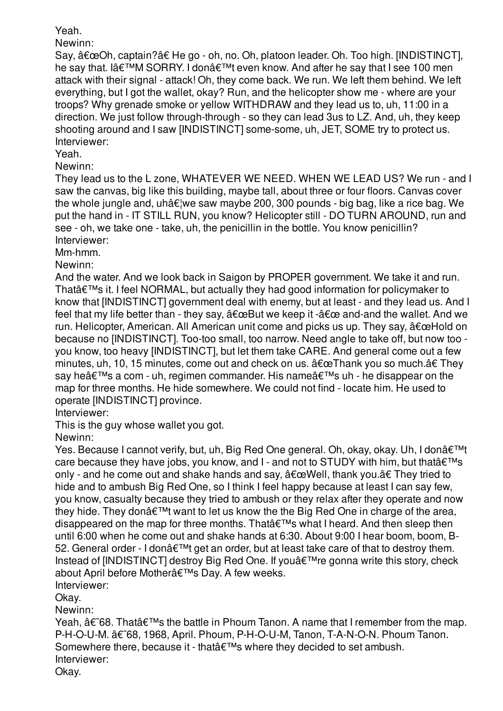## Yeah.

Newinn:

Say, "Oh, captain?†He go - oh, no. Oh, platoon leader. Oh. Too high. [INDISTINCT], he say that. I'M SORRY. I don't even know. And after he say that I see 100 men attack with their signal - attack! Oh, they come back. We run. We left them behind. We left everything, but I got the wallet, okay? Run, and the helicopter show me - where are your troops? Why grenade smoke or yellow WITHDRAW and they lead us to, uh, 11:00 in a direction. We just follow through-through - so they can lead 3us to LZ. And, uh, they keep shooting around and I saw [INDISTINCT] some-some, uh, JET, SOME try to protect us. Interviewer:

Yeah.

Newinn:

They lead us to the L zone, WHATEVER WE NEED. WHEN WE LEAD US? We run - and I saw the canvas, big like this building, maybe tall, about three or four floors. Canvas cover the whole jungle and, uhâ $\epsilon$  we saw maybe 200, 300 pounds - big bag, like a rice bag. We put the hand in - IT STILL RUN, you know? Helicopter still - DO TURN AROUND, run and see - oh, we take one - take, uh, the penicillin in the bottle. You know penicillin? Interviewer:

Mm-hmm.

Newinn:

And the water. And we look back in Saigon by PROPER government. We take it and run. That $\hat{a} \in \mathbb{M}$ s it. I feel NORMAL, but actually they had good information for policymaker to know that [INDISTINCT] government deal with enemy, but at least - and they lead us. And I feel that my life better than - they say,  $\hat{a} \in \mathbb{R}$ ut we keep it - $\hat{a} \in \mathbb{R}$  and-and the wallet. And we run. Helicopter, American. All American unit come and picks us up. They say,  $\hat{a} \in \mathbb{C}$ Hold on because no [INDISTINCT]. Too-too small, too narrow. Need angle to take off, but now too you know, too heavy [INDISTINCT], but let them take CARE. And general come out a few minutes, uh, 10, 15 minutes, come out and check on us.  $â€\alpha$ Thank you so much. $â€$  They say he $\hat{\mathbf{a}} \in \mathbb{R}^{m}$ s a com - uh, regimen commander. His name $\hat{\mathbf{a}} \in \mathbb{R}^{m}$ s uh - he disappear on the map for three months. He hide somewhere. We could not find - locate him. He used to operate [INDISTINCT] province.

Interviewer:

This is the guy whose wallet you got.

Newinn:

Yes. Because I cannot verify, but, uh, Big Red One general. Oh, okay, okay. Uh, I donâ€<sup>™t</sup> care because they have jobs, you know, and I - and not to STUDY with him, but that  $\hat{\epsilon}^{\text{TM}}$ s only - and he come out and shake hands and say,  $\hat{a} \in \mathbb{C}$ Well, thank you. $\hat{a} \in \mathbb{C}$  They tried to hide and to ambush Big Red One, so I think I feel happy because at least I can say few, you know, casualty because they tried to ambush or they relax after they operate and now they hide. They donâ $\epsilon^{TM}$  want to let us know the the Big Red One in charge of the area, disappeared on the map for three months. That's what I heard. And then sleep then until 6:00 when he come out and shake hands at 6:30. About 9:00 I hear boom, boom, B-52. General order - I donâ $\epsilon^{TM}$  get an order, but at least take care of that to destroy them. Instead of [INDISTINCT] destroy Big Red One. If you a€<sup>™</sup>re gonna write this story, check about April before Mother's Day. A few weeks.

Interviewer:

Okay.

Newinn:

Yeah,  $\hat{\mathbf{a}} \in \mathcal{B}$ . That $\hat{\mathbf{a}} \in \mathbb{M}$  the battle in Phoum Tanon. A name that I remember from the map. P-H-O-U-M.  $â€768, 1968,$  April. Phoum, P-H-O-U-M, Tanon, T-A-N-O-N. Phoum Tanon. Somewhere there, because it - that's where they decided to set ambush. Interviewer:

Okay.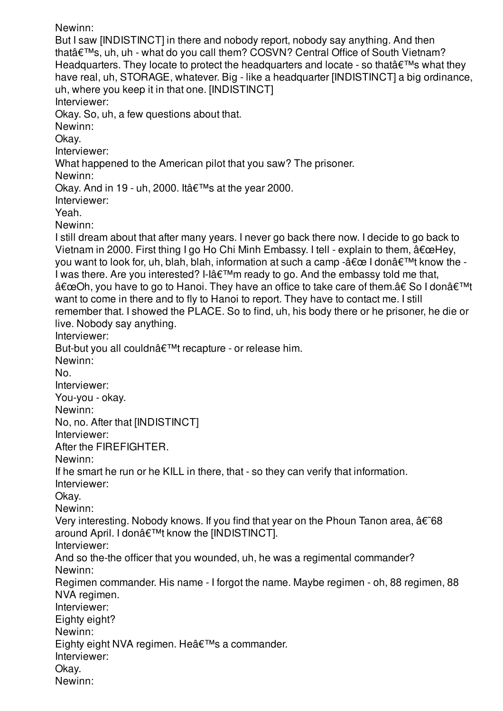Newinn: But I saw [INDISTINCT] in there and nobody report, nobody say anything. And then thatâ€<sup>™</sup>s, uh, uh - what do you call them? COSVN? Central Office of South Vietnam? Headquarters. They locate to protect the headquarters and locate - so that  $\hat{\epsilon}^{\text{TM}}$ s what they have real, uh, STORAGE, whatever. Big - like a headquarter [INDISTINCT] a big ordinance, uh, where you keep it in that one. [INDISTINCT] Interviewer: Okay. So, uh, a few questions about that. Newinn: Okay. Interviewer: What happened to the American pilot that you saw? The prisoner. Newinn: Okay. And in 19 - uh, 2000. It  $\hat{\mathbf{a}} \in \mathbb{M}$ s at the year 2000. Interviewer: Yeah. Newinn: I still dream about that after many years. I never go back there now. I decide to go back to Vietnam in 2000. First thing I go Ho Chi Minh Embassy. I tell - explain to them,  $\hat{a} \in \text{ceHey}$ , you want to look for, uh, blah, blah, information at such a camp - $\hat{\alpha} \in \mathbb{C}$  I don $\hat{\alpha} \in \mathbb{M}$ t know the -I was there. Are you interested? I-I $\hat{a} \in \mathbb{M}$ m ready to go. And the embassy told me that, "Oh, you have to go to Hanoi. They have an office to take care of them.†So I donâ€<sup>™t</sup> want to come in there and to fly to Hanoi to report. They have to contact me. I still remember that. I showed the PLACE. So to find, uh, his body there or he prisoner, he die or live. Nobody say anything. Interviewer: But-but you all couldn't recapture - or release him. Newinn: No. Interviewer: You-you - okay. Newinn: No, no. After that [INDISTINCT] Interviewer: After the FIREFIGHTER. Newinn: If he smart he run or he KILL in there, that - so they can verify that information. Interviewer: Okay. Newinn: Very interesting. Nobody knows. If you find that year on the Phoun Tanon area,  $\hat{a}\epsilon$  68 around April. I don't know the [INDISTINCT]. Interviewer: And so the-the officer that you wounded, uh, he was a regimental commander? Newinn: Regimen commander. His name - I forgot the name. Maybe regimen - oh, 88 regimen, 88 NVA regimen. Interviewer: Eighty eight? Newinn: Eighty eight NVA regimen. He's a commander. Interviewer: Okay. Newinn: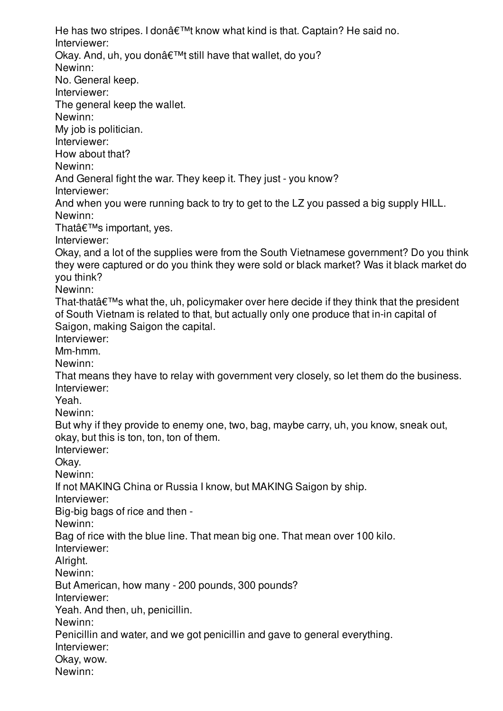He has two stripes. I donâ $\epsilon^{\text{TM}}$ t know what kind is that. Captain? He said no. Interviewer: Okay. And, uh, you don't still have that wallet, do you? Newinn: No. General keep. Interviewer: The general keep the wallet. Newinn: My job is politician. Interviewer: How about that? Newinn: And General fight the war. They keep it. They just - you know? Interviewer: And when you were running back to try to get to the LZ you passed a big supply HILL. Newinn: That $\hat{\mathbf{a}} \in \mathbb{M}$ s important, yes. Interviewer: Okay, and a lot of the supplies were from the South Vietnamese government? Do you think they were captured or do you think they were sold or black market? Was it black market do you think? Newinn: That-that $\hat{a} \in \mathbb{M}$ s what the, uh, policymaker over here decide if they think that the president of South Vietnam is related to that, but actually only one produce that in-in capital of Saigon, making Saigon the capital. Interviewer: Mm-hmm. Newinn: That means they have to relay with government very closely, so let them do the business. Interviewer: Yeah. Newinn: But why if they provide to enemy one, two, bag, maybe carry, uh, you know, sneak out, okay, but this is ton, ton, ton of them. Interviewer: Okay. Newinn: If not MAKING China or Russia I know, but MAKING Saigon by ship. Interviewer: Big-big bags of rice and then - Newinn: Bag of rice with the blue line. That mean big one. That mean over 100 kilo. Interviewer: Alright. Newinn: But American, how many - 200 pounds, 300 pounds? Interviewer: Yeah. And then, uh, penicillin. Newinn: Penicillin and water, and we got penicillin and gave to general everything. Interviewer: Okay, wow. Newinn: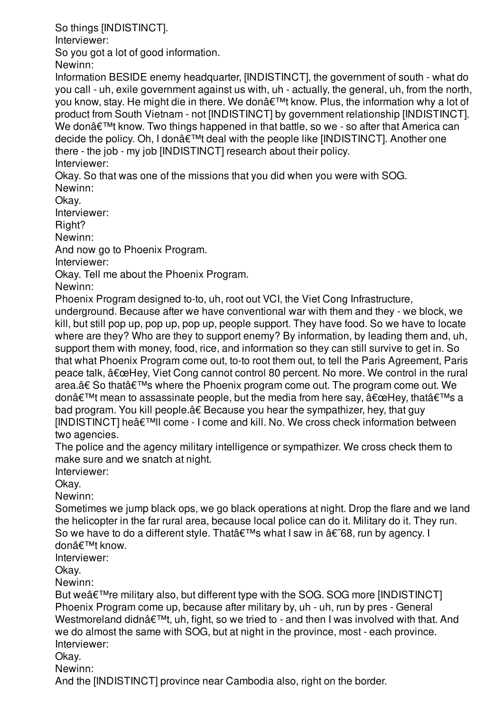So things [INDISTINCT].

Interviewer:

So you got a lot of good information.

Newinn:

Information BESIDE enemy headquarter, [INDISTINCT], the government of south - what do you call - uh, exile government against us with, uh - actually, the general, uh, from the north, you know, stay. He might die in there. We don $\hat{\mathcal{A}} \in \mathbb{R}^{n}$  know. Plus, the information why a lot of product from South Vietnam - not [INDISTINCT] by government relationship [INDISTINCT]. We don $\hat{\mathcal{A}} \in \mathbb{R}^{n}$  know. Two things happened in that battle, so we - so after that America can decide the policy. Oh, I don't deal with the people like [INDISTINCT]. Another one there - the job - my job [INDISTINCT] research about their policy. Interviewer:

Okay. So that was one of the missions that you did when you were with SOG. Newinn:

Okay.

Interviewer:

Right?

Newinn:

And now go to Phoenix Program.

Interviewer:

Okay. Tell me about the Phoenix Program.

Newinn:

Phoenix Program designed to-to, uh, root out VCI, the Viet Cong Infrastructure,

underground. Because after we have conventional war with them and they - we block, we kill, but still pop up, pop up, pop up, people support. They have food. So we have to locate where are they? Who are they to support enemy? By information, by leading them and, uh, support them with money, food, rice, and information so they can still survive to get in. So that what Phoenix Program come out, to-to root them out, to tell the Paris Agreement, Paris peace talk,  $"Hey, Viet Cong cannot control 80 percent. No more. We control in the rural$ area.†So thatâ€<sup>™</sup>s where the Phoenix program come out. The program come out. We don $\hat{\mathbf{\alpha}} \in \mathbb{R}^{T}$  mean to assassinate people, but the media from here say,  $\hat{\mathbf{\alpha}} \in \mathbb{C}^{T}$  that  $\hat{\mathbf{\alpha}} \in \mathbb{R}^{T}$  a bad program. You kill people.â€ Because you hear the sympathizer, hey, that guy  $[INDISTINCT]$  he $\hat{\alpha} \in \text{TMII}$  come - I come and kill. No. We cross check information between two agencies.

The police and the agency military intelligence or sympathizer. We cross check them to make sure and we snatch at night.

Interviewer:

Okay.

Newinn:

Sometimes we jump black ops, we go black operations at night. Drop the flare and we land the helicopter in the far rural area, because local police can do it. Military do it. They run. So we have to do a different style. That  $\hat{\epsilon}^{\text{TM}}$ s what I saw in  $\hat{\alpha} \in \hat{\delta}$ 8, run by agency. I don't know

Interviewer:

Okay.

Newinn:

But we $\hat{\mathbf{a}} \in \mathbb{M}$  re military also, but different type with the SOG. SOG more [INDISTINCT] Phoenix Program come up, because after military by, uh - uh, run by pres - General Westmoreland didn $\hat{\alpha} \in \mathbb{M}$ t, uh, fight, so we tried to - and then I was involved with that. And we do almost the same with SOG, but at night in the province, most - each province. Interviewer:

Okay.

Newinn:

And the [INDISTINCT] province near Cambodia also, right on the border.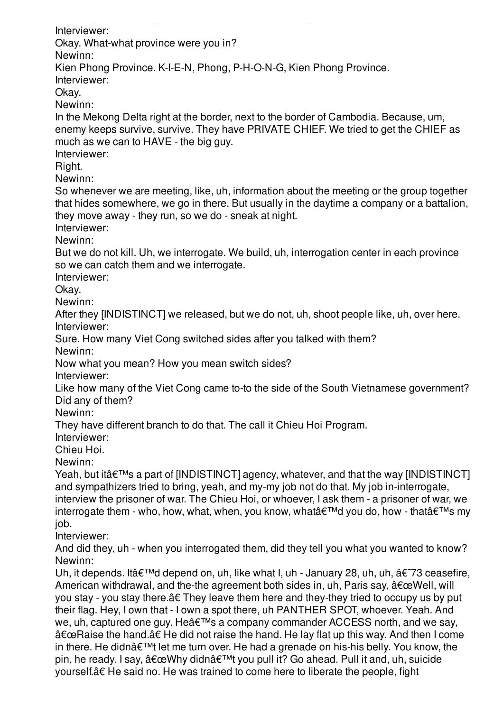And the [INDISTINCT] province near Cambodia also, right on the border. Interviewer: Okay. What-what province were you in? Newinn: Kien Phong Province. K-I-E-N, Phong, P-H-O-N-G, Kien Phong Province. Interviewer: Okay. Newinn: In the Mekong Delta right at the border, next to the border of Cambodia. Because, um, enemy keeps survive, survive. They have PRIVATE CHIEF. We tried to get the CHIEF as much as we can to HAVE - the big guy. Interviewer: Right. Newinn: So whenever we are meeting, like, uh, information about the meeting or the group together that hides somewhere, we go in there. But usually in the daytime a company or a battalion, they move away - they run, so we do - sneak at night. Interviewer: Newinn: But we do not kill. Uh, we interrogate. We build, uh, interrogation center in each province so we can catch them and we interrogate. Interviewer: Okay. Newinn: After they [INDISTINCT] we released, but we do not, uh, shoot people like, uh, over here. Interviewer: Sure. How many Viet Cong switched sides after you talked with them? Newinn: Now what you mean? How you mean switch sides? Interviewer: Like how many of the Viet Cong came to-to the side of the South Vietnamese government? Did any of them? Newinn: They have different branch to do that. The call it Chieu Hoi Program. Interviewer: Chieu Hoi. Newinn: Yeah, but it  $\hat{a} \in \mathbb{M}$ s a part of [INDISTINCT] agency, whatever, and that the way [INDISTINCT] and sympathizers tried to bring, yeah, and my-my job not do that. My job in-interrogate, interview the prisoner of war. The Chieu Hoi, or whoever, I ask them - a prisoner of war, we interrogate them - who, how, what, when, you know, what'd you do, how - that's my job. Interviewer: And did they, uh - when you interrogated them, did they tell you what you wanted to know? Newinn: Uh, it depends. Itâ $\epsilon^{TM}$ d depend on, uh, like what I, uh - January 28, uh, uh,  $\hat{\alpha}\epsilon^{T}$ 73 ceasefire, American withdrawal, and the-the agreement both sides in, uh, Paris say,  $\hat{a} \in \mathbb{C}$  Well, will you stay - you stay there.â€ They leave them here and they-they tried to occupy us by put their flag. Hey, I own that - I own a spot there, uh PANTHER SPOT, whoever. Yeah. And we, uh, captured one guy. He's a company commander ACCESS north, and we say, "Raise the hand.†He did not raise the hand. He lay flat up this way. And then I come in there. He didn $\hat{\mathbf{a}} \in \mathbb{M}$ t let me turn over. He had a grenade on his-his belly. You know, the pin, he ready. I say,  $â€ceWhy$  didn $'t$  you pull it? Go ahead. Pull it and, uh, suicide

yourself.â€ He said no. He was trained to come here to liberate the people, fight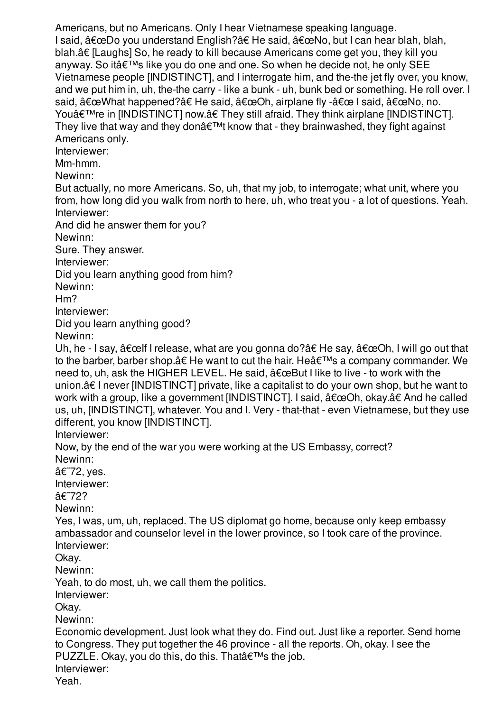Americans, but no Americans. Only I hear Vietnamese speaking language. I said, "Do you understand English?†He said, "No, but I can hear blah, blah, blah.â€ [Laughs] So, he ready to kill because Americans come get you, they kill you anyway. So it's like you do one and one. So when he decide not, he only SEE Vietnamese people [INDISTINCT], and I interrogate him, and the-the jet fly over, you know, and we put him in, uh, the-the carry - like a bunk - uh, bunk bed or something. He roll over. I said,  $â€æWhat happened?†He said, â€æOh, airplane fly -â€æ Isaid, â€æNo, no.$ You're in [INDISTINCT] now.†They still afraid. They think airplane [INDISTINCT]. They live that way and they don $\hat{\mathbf{a}} \in \mathbb{M}$  know that - they brainwashed, they fight against Americans only. Interviewer: Mm-hmm. Newinn: But actually, no more Americans. So, uh, that my job, to interrogate; what unit, where you from, how long did you walk from north to here, uh, who treat you - a lot of questions. Yeah. Interviewer: And did he answer them for you? Newinn: Sure. They answer. Interviewer: Did you learn anything good from him? Newinn: Hm? Interviewer: Did you learn anything good? Newinn: Uh, he - I say,  $\hat{a} \in \text{ceil}$  I release, what are you gonna do? $\hat{a} \in \text{He}$  say,  $\hat{a} \in \text{ceOh}$ , I will go out that to the barber, barber shop. $\hat{a}\in H$ e want to cut the hair. He $\hat{a}\in T^{\mathsf{M}}$ s a company commander. We need to, uh, ask the HIGHER LEVEL. He said,  $"But I like to live - to work with the$ union.â€ I never [INDISTINCT] private, like a capitalist to do your own shop, but he want to work with a group, like a government [INDISTINCT]. I said,  $â€æOh$ , okay.†And he called us, uh, [INDISTINCT], whatever. You and I. Very - that-that - even Vietnamese, but they use different, you know [INDISTINCT]. Interviewer: Now, by the end of the war you were working at the US Embassy, correct? Newinn: â€~72, yes. Interviewer: â€~72? Newinn: Yes, I was, um, uh, replaced. The US diplomat go home, because only keep embassy ambassador and counselor level in the lower province, so I took care of the province. Interviewer: Okay. Newinn: Yeah, to do most, uh, we call them the politics. Interviewer: Okay. Newinn: Economic development. Just look what they do. Find out. Just like a reporter. Send home to Congress. They put together the 46 province - all the reports. Oh, okay. I see the PUZZLE. Okay, you do this, do this. That  $\hat{\theta} \in \mathbb{T}^{M}$ s the job. Interviewer: Yeah.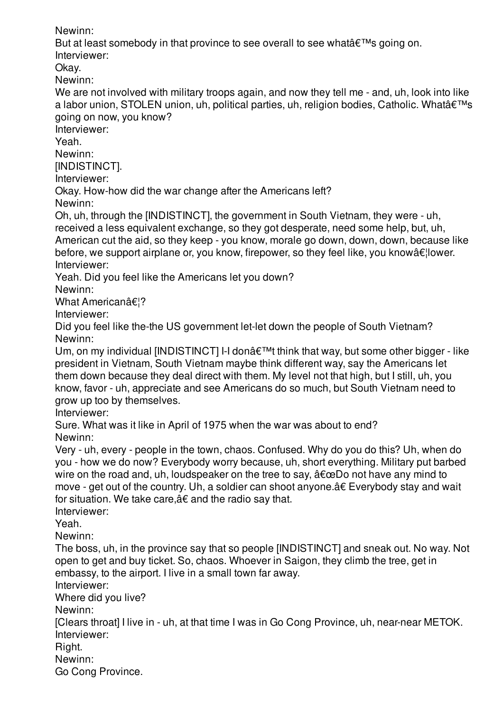Newinn:

But at least somebody in that province to see overall to see what  $\hat{\theta} \in \mathbb{R}^{m}$  going on.

Interviewer:

Okay.

Newinn:

We are not involved with military troops again, and now they tell me - and, uh, look into like a labor union, STOLEN union, uh, political parties, uh, religion bodies, Catholic. What $\hat{\mathbf{a}} \in \mathbb{M}$ s going on now, you know?

Interviewer:

Yeah.

Newinn:

[INDISTINCT].

Interviewer:

Okay. How-how did the war change after the Americans left?

Newinn:

Oh, uh, through the [INDISTINCT], the government in South Vietnam, they were - uh, received a less equivalent exchange, so they got desperate, need some help, but, uh, American cut the aid, so they keep - you know, morale go down, down, down, because like before, we support airplane or, you know, firepower, so they feel like, you know  $\hat{\alpha} \in \mathcal{A}$  lower. Interviewer:

Yeah. Did you feel like the Americans let you down?

Newinn:

What Americanâ€!?

Interviewer:

Did you feel like the-the US government let-let down the people of South Vietnam? Newinn:

Um, on my individual [INDISTINCT] I-I don $\hat{\mathcal{A}} \in \mathbb{M}$  think that way, but some other bigger - like president in Vietnam, South Vietnam maybe think different way, say the Americans let them down because they deal direct with them. My level not that high, but I still, uh, you know, favor - uh, appreciate and see Americans do so much, but South Vietnam need to grow up too by themselves.

Interviewer:

Sure. What was it like in April of 1975 when the war was about to end? Newinn:

Very - uh, every - people in the town, chaos. Confused. Why do you do this? Uh, when do you - how we do now? Everybody worry because, uh, short everything. Military put barbed wire on the road and, uh, loudspeaker on the tree to say,  $\hat{a} \in \mathbb{C}$  and have any mind to move - get out of the country. Uh, a soldier can shoot anyone.â€ Everybody stay and wait for situation. We take care,â€ and the radio say that.

Interviewer:

Yeah.

Newinn:

The boss, uh, in the province say that so people [INDISTINCT] and sneak out. No way. Not open to get and buy ticket. So, chaos. Whoever in Saigon, they climb the tree, get in embassy, to the airport. I live in a small town far away.

Interviewer:

Where did you live?

Newinn:

[Clears throat] I live in - uh, at that time I was in Go Cong Province, uh, near-near METOK. Interviewer:

Right.

Newinn:

Go Cong Province.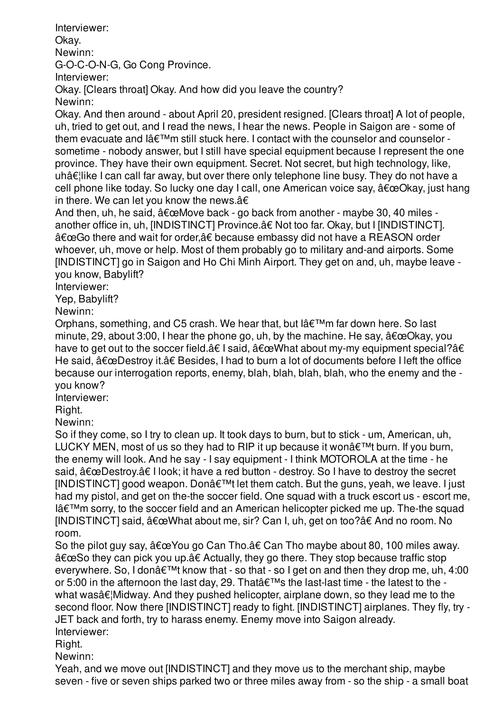Interviewer: Okay.

Newinn:

G-O-C-O-N-G, Go Cong Province.

Interviewer:

Okay. [Clears throat] Okay. And how did you leave the country? Newinn:

Okay. And then around - about April 20, president resigned. [Clears throat] A lot of people, uh, tried to get out, and I read the news, I hear the news. People in Saigon are - some of them evacuate and  $I\hat{a} \in I^M$ m still stuck here. I contact with the counselor and counselor sometime - nobody answer, but I still have special equipment because I represent the one province. They have their own equipment. Secret. Not secret, but high technology, like,  $u$ hâ $\epsilon$ ¦like I can call far away, but over there only telephone line busy. They do not have a cell phone like today. So lucky one day I call, one American voice say,  $â€ceO$ kay, just hang in there. We can let you know the news. $â€$ 

And then, uh, he said,  $\hat{a} \in \mathbb{C}$ Move back - go back from another - maybe 30, 40 miles another office in, uh, [INDISTINCT] Province.â€ Not too far. Okay, but I [INDISTINCT]. "Go there and wait for order,†because embassy did not have a REASON order whoever, uh, move or help. Most of them probably go to military and-and airports. Some [INDISTINCT] go in Saigon and Ho Chi Minh Airport. They get on and, uh, maybe leave you know, Babylift?

Interviewer:

Yep, Babylift?

Newinn:

Orphans, something, and C5 crash. We hear that, but l'm far down here. So last minute, 29, about 3:00, I hear the phone go, uh, by the machine. He say,  $\hat{a} \in \alpha$ Okay, you have to get out to the soccer field. $\hat{a}\epsilon$  I said,  $\hat{a}\epsilon \in W$ hat about my-my equipment special? $\hat{a}\epsilon$ He said,  $â€$ œDestroy it.†Besides, I had to burn a lot of documents before I left the office because our interrogation reports, enemy, blah, blah, blah, blah, who the enemy and the you know?

Interviewer:

Right.

Newinn:

So if they come, so I try to clean up. It took days to burn, but to stick - um, American, uh, LUCKY MEN, most of us so they had to RIP it up because it won $\hat{a} \in \mathbb{M}$  burn. If you burn, the enemy will look. And he say - I say equipment - I think MOTOROLA at the time - he said,  $â€æDestroy.†I look; it have a red button - destroy. So I have to destroy the secret$  $[INDISTINCT]$  good weapon. Donâ $\epsilon^{TM}$ t let them catch. But the guns, yeah, we leave. I just had my pistol, and get on the-the soccer field. One squad with a truck escort us - escort me,  $I\hat{a} \in I^M$ m sorry, to the soccer field and an American helicopter picked me up. The-the squad [INDISTINCT] said,  $"What about me, sir? Can I, uh, get on too?†And no room. No$ room.

So the pilot guy say,  $â€ce$ You go Can Tho.†Can Tho maybe about 80, 100 miles away. "So they can pick you up.†Actually, they go there. They stop because traffic stop everywhere. So, I don $\hat{\mathcal{A}} \in \mathbb{M}$  know that - so that - so I get on and then they drop me, uh, 4:00 or 5:00 in the afternoon the last day, 29. That  $\hat{\theta} \in \mathbb{R}^{M}$  the last-last time - the latest to the what was $\hat{\alpha} \in \mathbb{N}$  Midway. And they pushed helicopter, airplane down, so they lead me to the second floor. Now there [INDISTINCT] ready to fight. [INDISTINCT] airplanes. They fly, try - JET back and forth, try to harass enemy. Enemy move into Saigon already. Interviewer:

Right.

Newinn:

Yeah, and we move out [INDISTINCT] and they move us to the merchant ship, maybe seven - five or seven ships parked two or three miles away from - so the ship - a small boat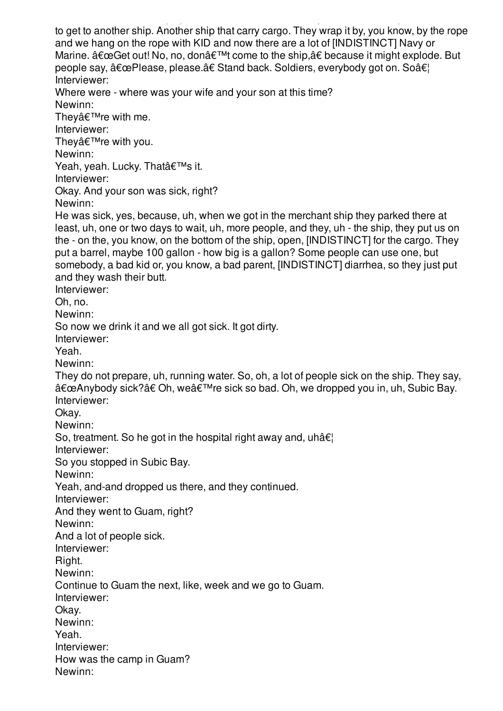to get to another ship. Another ship that carry cargo. They wrap it by, you know, by the rope and we hang on the rope with KID and now there are a lot of [INDISTINCT] Navy or Marine.  $\hat{a} \in \text{ceGet out! No}$ , no, don $\hat{a} \in \text{TM}$  come to the ship, $\hat{a} \in \text{because it might explode. But}$ people say,  $"Please, please.\hat{a€} Stand back. Solutions, every body got on. So $\hat{a}€$$ Interviewer: Where were - where was your wife and your son at this time? Newinn: Thevâ $\epsilon^{\text{TM}}$ re with me. Interviewer: They $\hat{\mathbf{a}} \in \mathbb{M}$ re with you. Newinn: Yeah, yeah. Lucky. That's it. Interviewer: Okay. And your son was sick, right? Newinn: He was sick, yes, because, uh, when we got in the merchant ship they parked there at least, uh, one or two days to wait, uh, more people, and they, uh - the ship, they put us on the - on the, you know, on the bottom of the ship, open, [INDISTINCT] for the cargo. They put a barrel, maybe 100 gallon - how big is a gallon? Some people can use one, but somebody, a bad kid or, you know, a bad parent, [INDISTINCT] diarrhea, so they just put and they wash their butt. Interviewer: Oh, no. Newinn: So now we drink it and we all got sick. It got dirty. Interviewer: Yeah. Newinn: They do not prepare, uh, running water. So, oh, a lot of people sick on the ship. They say, "Anybody sick?†Oh, we're sick so bad. Oh, we dropped you in, uh, Subic Bay. Interviewer: Okay. Newinn: So, treatment. So he got in the hospital right away and,  $uhâ<sub>ε</sub>$ Interviewer: So you stopped in Subic Bay. Newinn: Yeah, and-and dropped us there, and they continued. Interviewer: And they went to Guam, right? Newinn: And a lot of people sick. Interviewer: Right. Newinn: Continue to Guam the next, like, week and we go to Guam. Interviewer: Okay. Newinn: Yeah. Interviewer: How was the camp in Guam? Newinn:

seven - five or seven ships parked two or three miles away from - so the ship - a small boat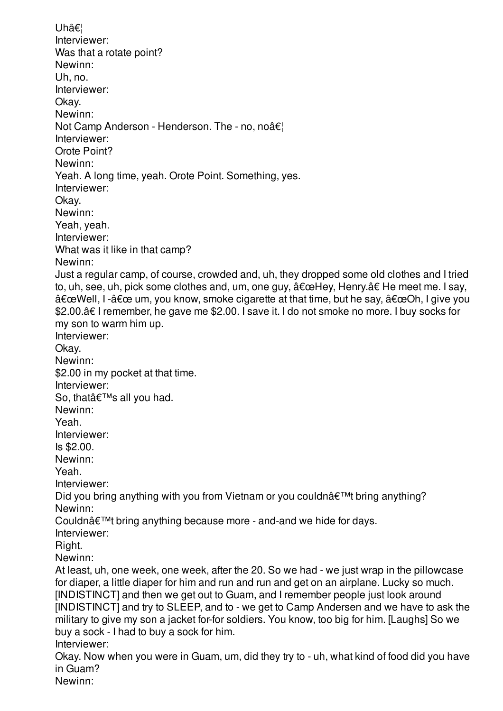Uh… Interviewer: Was that a rotate point? Newinn: Uh, no. Interviewer: Okay. Newinn: Not Camp Anderson - Henderson. The - no, noâ€! Interviewer: Orote Point? Newinn: Yeah. A long time, yeah. Orote Point. Something, yes. Interviewer: Okay. Newinn: Yeah, yeah. Interviewer: What was it like in that camp? Newinn: Just a regular camp, of course, crowded and, uh, they dropped some old clothes and I tried to, uh, see, uh, pick some clothes and, um, one guy,  $"Hey$ , Henry.†He meet me. I say,  $\hat{a} \in \text{c}$ Well, I - $\hat{a} \in \text{c}$  um, you know, smoke cigarette at that time, but he say,  $\hat{a} \in \text{c}$ Oh, I give you \$2.00.â€ I remember, he gave me \$2.00. I save it. I do not smoke no more. I buy socks for my son to warm him up. Interviewer: Okay. Newinn: \$2.00 in my pocket at that time. Interviewer: So, that's all you had. Newinn: Yeah. Interviewer: Is \$2.00. Newinn: Yeah. Interviewer: Did you bring anything with you from Vietnam or you couldn $\hat{\mathbf{a}} \in \mathbb{M}$  bring anything? Newinn: Couldn $\hat{a} \in \mathbb{M}$  bring anything because more - and-and we hide for days. Interviewer: Right. Newinn: At least, uh, one week, one week, after the 20. So we had - we just wrap in the pillowcase for diaper, a little diaper for him and run and run and get on an airplane. Lucky so much. [INDISTINCT] and then we get out to Guam, and I remember people just look around [INDISTINCT] and try to SLEEP, and to - we get to Camp Andersen and we have to ask the military to give my son a jacket for-for soldiers. You know, too big for him. [Laughs] So we buy a sock - I had to buy a sock for him. Interviewer: Okay. Now when you were in Guam, um, did they try to - uh, what kind of food did you have in Guam?

Newinn: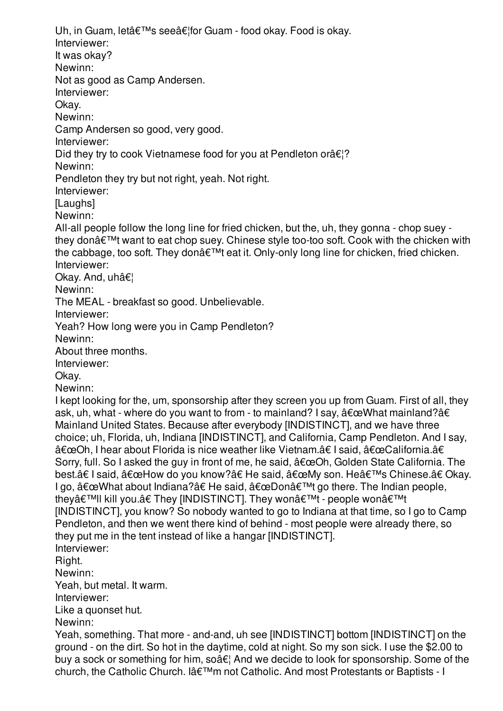Uh, in Guam, let's see…for Guam - food okay. Food is okay. Interviewer: It was okay? Newinn: Not as good as Camp Andersen. Interviewer: Okay. Newinn: Camp Andersen so good, very good. Interviewer: Did they try to cook Vietnamese food for you at Pendleton or $\hat{\mathbf{a}} \in \mathbb{R}^2$ ? Newinn: Pendleton they try but not right, yeah. Not right. Interviewer: [Laughs] Newinn: All-all people follow the long line for fried chicken, but the, uh, they gonna - chop suey they don $\hat{\mathbf{a}} \in \mathbb{M}$  want to eat chop suey. Chinese style too-too soft. Cook with the chicken with the cabbage, too soft. They don't eat it. Only-only long line for chicken, fried chicken. Interviewer: Okay. And, uh… Newinn: The MEAL - breakfast so good. Unbelievable. Interviewer: Yeah? How long were you in Camp Pendleton? Newinn: About three months. Interviewer: Okay. Newinn: I kept looking for the, um, sponsorship after they screen you up from Guam. First of all, they ask, uh, what - where do you want to from - to mainland? I say,  $\hat{a} \in \mathbb{C}$ What mainland? $\hat{a} \in$ Mainland United States. Because after everybody [INDISTINCT], and we have three choice; uh, Florida, uh, Indiana [INDISTINCT], and California, Camp Pendleton. And I say, "Oh, I hear about Florida is nice weather like Vietnam.†I said, "California.â€ Sorry, full. So I asked the guy in front of me, he said,  $â€æOh$ , Golden State California. The best.†I said,  $â€$ œHow do you know?†He said,  $â€$ œMy son. He's Chinese.†Okay. I go,  $\hat{\mathbf{a}} \in \mathbb{C}$  about Indiana? $\hat{\mathbf{a}} \in \mathbb{H}$  at  $\hat{\mathbf{a}} \in \mathbb{C}$ Don $\hat{\mathbf{a}} \in \mathbb{C}^{\mathsf{TM}}$  go there. The Indian people, they'll kill you.†They [INDISTINCT]. They won't - people won't [INDISTINCT], you know? So nobody wanted to go to Indiana at that time, so I go to Camp Pendleton, and then we went there kind of behind - most people were already there, so they put me in the tent instead of like a hangar [INDISTINCT]. Interviewer: Right. Newinn: Yeah, but metal. It warm. Interviewer: Like a quonset hut. Newinn: Yeah, something. That more - and-and, uh see [INDISTINCT] bottom [INDISTINCT] on the ground - on the dirt. So hot in the daytime, cold at night. So my son sick. I use the \$2.00 to buy a sock or something for him, so $\hat{a} \in \mathcal{A}$  And we decide to look for sponsorship. Some of the church, the Catholic Church. I'm not Catholic. And most Protestants or Baptists - I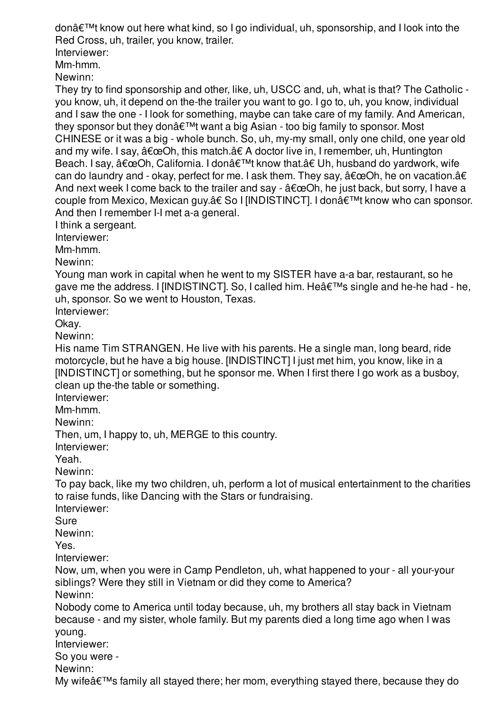donâ€<sup>™</sup>t know out here what kind, so I go individual, uh, sponsorship, and I look into the Red Cross, uh, trailer, you know, trailer.

Interviewer:

Mm-hmm.

Newinn:

They try to find sponsorship and other, like, uh, USCC and, uh, what is that? The Catholic you know, uh, it depend on the-the trailer you want to go. I go to, uh, you know, individual and I saw the one - I look for something, maybe can take care of my family. And American, they sponsor but they don $\hat{\mathbf{a}} \in \mathbb{M}$ t want a big Asian - too big family to sponsor. Most CHINESE or it was a big - whole bunch. So, uh, my-my small, only one child, one year old and my wife. I say,  $â€æOh$ , this match.†A doctor live in, I remember, uh, Huntington Beach. I say,  $â€ceOh$ , California. I don't know that.†Uh, husband do yardwork, wife can do laundry and - okay, perfect for me. I ask them. They say,  $\hat{a} \in \mathbb{C}$ Oh, he on vacation. $\hat{a} \in$ And next week I come back to the trailer and say -  $\hat{a} \in \mathbb{C}$ Oh, he just back, but sorry, I have a couple from Mexico, Mexican guy.†So I [INDISTINCT]. I donâ€<sup>™</sup>t know who can sponsor. And then I remember I-I met a-a general.

I think a sergeant.

Interviewer:

Mm-hmm.

Newinn:

Young man work in capital when he went to my SISTER have a-a bar, restaurant, so he gave me the address. I [INDISTINCT]. So, I called him. He $\hat{a} \in \mathbb{M}$ s single and he-he had - he, uh, sponsor. So we went to Houston, Texas.

Interviewer:

Okay.

Newinn:

His name Tim STRANGEN. He live with his parents. He a single man, long beard, ride motorcycle, but he have a big house. [INDISTINCT] I just met him, you know, like in a [INDISTINCT] or something, but he sponsor me. When I first there I go work as a busboy, clean up the-the table or something.

Interviewer:

Mm-hmm.

Newinn:

Then, um, I happy to, uh, MERGE to this country.

Interviewer:

Yeah.

Newinn:

To pay back, like my two children, uh, perform a lot of musical entertainment to the charities to raise funds, like Dancing with the Stars or fundraising.

Interviewer:

Sure

Newinn:

Yes.

Interviewer:

Now, um, when you were in Camp Pendleton, uh, what happened to your - all your-your siblings? Were they still in Vietnam or did they come to America?

Newinn:

Nobody come to America until today because, uh, my brothers all stay back in Vietnam because - and my sister, whole family. But my parents died a long time ago when I was young.

Interviewer:

So you were -

Newinn:

My wife $\hat{\mathcal{A}} \in \mathbb{R}^m$  family all stayed there; her mom, everything stayed there, because they do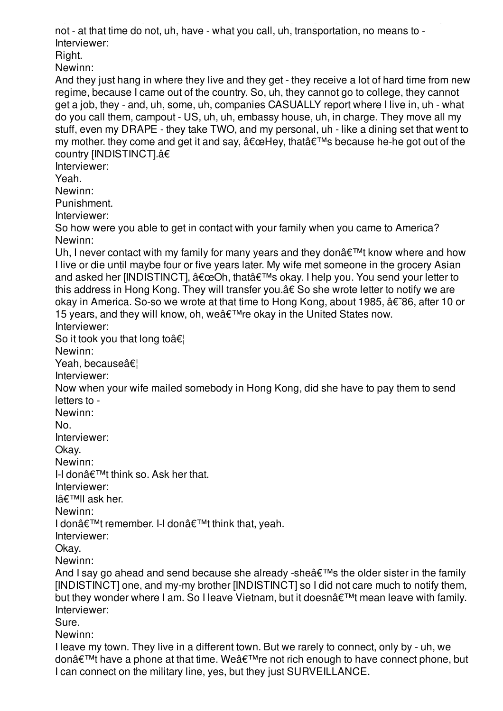$M_{\rm p}$  wife's family all stayed there; here; here; here; here, because they do not be cause they do not be not - at that time do not, uh, have - what you call, uh, transportation, no means to - Interviewer:

Right.

Newinn:

And they just hang in where they live and they get - they receive a lot of hard time from new regime, because I came out of the country. So, uh, they cannot go to college, they cannot get a job, they - and, uh, some, uh, companies CASUALLY report where I live in, uh - what do you call them, campout - US, uh, uh, embassy house, uh, in charge. They move all my stuff, even my DRAPE - they take TWO, and my personal, uh - like a dining set that went to my mother. they come and get it and say,  $\hat{a} \in \mathbb{C}$ Hey, that $\hat{a} \in \mathbb{N}$ s because he-he got out of the country [INDISTINCT].â€

Interviewer:

Yeah.

Newinn:

Punishment.

Interviewer:

So how were you able to get in contact with your family when you came to America? Newinn:

Uh, I never contact with my family for many years and they don $\hat{\mathcal{H}}^{\text{TM}}$  know where and how I live or die until maybe four or five years later. My wife met someone in the grocery Asian and asked her [INDISTINCT],  $â€ceOh$ , that's okay. I help you. You send your letter to this address in Hong Kong. They will transfer you.â€ So she wrote letter to notify we are okay in America. So-so we wrote at that time to Hong Kong, about 1985, †86, after 10 or 15 years, and they will know, oh, we  $\hat{\mathbf{a}} \in \mathbb{R}^{T M}$  re okay in the United States now. Interviewer:

So it took you that long to  $\hat{\mathbf{a}} \in \mathbb{R}$ 

Newinn:

Yeah, because…

Interviewer:

Now when your wife mailed somebody in Hong Kong, did she have to pay them to send letters to -

Newinn:

No.

Interviewer:

Okay.

Newinn:

I-I don $\hat{\mathbf{a}} \in \mathbb{M}$ t think so. Ask her that.

Interviewer:

 $I\hat{a}€^{\text{TM}}I$  ask her.

Newinn:

I don't remember. I-I don't think that, yeah.

Interviewer:

Okay.

Newinn:

And I sav go ahead and send because she already -she $\hat{a} \in \mathbb{R}^N$ s the older sister in the family [INDISTINCT] one, and my-my brother [INDISTINCT] so I did not care much to notify them, but they wonder where I am. So I leave Vietnam, but it doesn't mean leave with family. Interviewer:

Sure.

Newinn:

I leave my town. They live in a different town. But we rarely to connect, only by - uh, we don $\hat{\mathbf{\alpha}} \in \mathbb{R}^{m}$  have a phone at that time. We  $\hat{\mathbf{\alpha}} \in \mathbb{R}^{m}$  re not rich enough to have connect phone, but I can connect on the military line, yes, but they just SURVEILLANCE.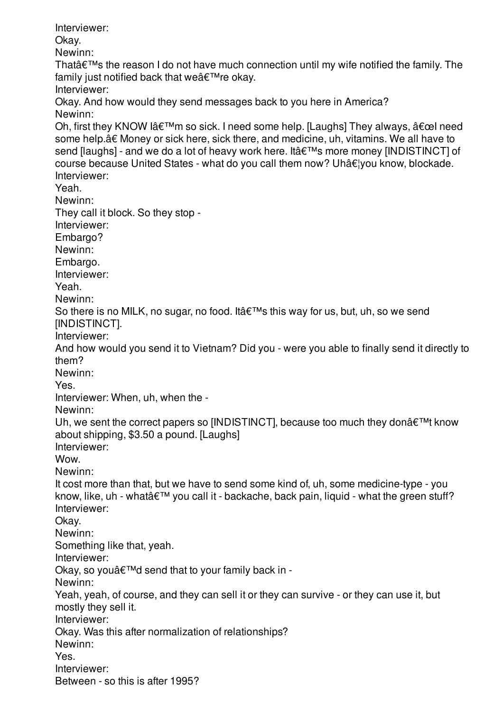Interviewer: Okay. Newinn: That $\hat{\mathbf{a}} \in \mathbb{M}$  the reason I do not have much connection until my wife notified the family. The family just notified back that we $\hat{a} \in T^M$ re okay. Interviewer: Okay. And how would they send messages back to you here in America? Newinn: Oh, first they KNOW lâ $\epsilon$ <sup>TM</sup>m so sick. I need some help. [Laughs] They always,  $\hat{a}\epsilon$  cel need some help.â€ Money or sick here, sick there, and medicine, uh, vitamins. We all have to send [laughs] - and we do a lot of heavy work here. It's more money [INDISTINCT] of course because United States - what do you call them now? Uh…you know, blockade. Interviewer: Yeah. Newinn: They call it block. So they stop - Interviewer: Embargo? Newinn: Embargo. Interviewer: Yeah. Newinn: So there is no MILK, no sugar, no food. It  $\hat{\mathbf{a}} \in \mathbb{M}$ s this way for us, but, uh, so we send [INDISTINCT]. Interviewer: And how would you send it to Vietnam? Did you - were you able to finally send it directly to them? Newinn: Yes. Interviewer: When, uh, when the - Newinn: Uh, we sent the correct papers so [INDISTINCT], because too much they don $\hat{a} \in \mathbb{M}$ t know about shipping, \$3.50 a pound. [Laughs] Interviewer: Wow. Newinn: It cost more than that, but we have to send some kind of, uh, some medicine-type - you know, like, uh - what $\hat{\alpha} \in \mathbb{M}$  you call it - backache, back pain, liquid - what the green stuff? Interviewer: Okay. Newinn: Something like that, yeah. Interviewer: Okay, so you $\hat{a} \in T^{M}$ d send that to your family back in -Newinn: Yeah, yeah, of course, and they can sell it or they can survive - or they can use it, but mostly they sell it. Interviewer: Okay. Was this after normalization of relationships? Newinn: Yes. Interviewer: Between - so this is after 1995?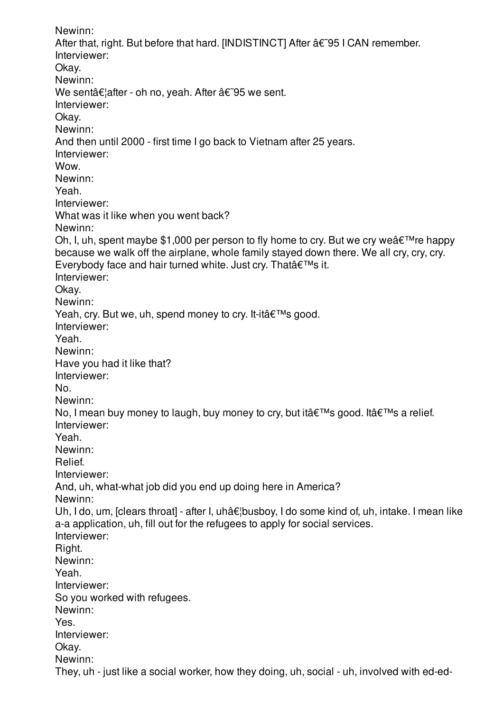Newinn: After that, right. But before that hard. [INDISTINCT] After  $\hat{a}\epsilon$  [95 I CAN remember. Interviewer: Okay. Newinn: We sent  $\hat{\alpha} \in \text{Aut}$  after - oh no, yeah. After  $\hat{\alpha} \in \text{Aut}$ . Interviewer: Okay. Newinn: And then until 2000 - first time I go back to Vietnam after 25 years. Interviewer: Wow. Newinn: Yeah. Interviewer: What was it like when you went back? Newinn: Oh, I, uh, spent maybe \$1,000 per person to fly home to cry. But we cry we  $\hat{\mathbf{a}} \in \mathbb{R}^{m}$  re happy because we walk off the airplane, whole family stayed down there. We all cry, cry, cry. Everybody face and hair turned white. Just cry. That's it. Interviewer: Okay. Newinn: Yeah, cry. But we, uh, spend money to cry. It-it's good. Interviewer: Yeah. Newinn: Have you had it like that? Interviewer: No. Newinn: No, I mean buy money to laugh, buy money to cry, but it  $\hat{\mathbf{a}} \in \mathbb{M}$ s good. It  $\hat{\mathbf{a}} \in \mathbb{M}$ s a relief. Interviewer: Yeah. Newinn: Relief. Interviewer: And, uh, what-what job did you end up doing here in America? Newinn: Uh, I do, um, [clears throat] - after I, uhâ $\epsilon$  busboy, I do some kind of, uh, intake. I mean like a-a application, uh, fill out for the refugees to apply for social services. Interviewer: Right. Newinn: Yeah. Interviewer: So you worked with refugees. Newinn: Yes. Interviewer: Okay. Newinn: They, uh - just like a social worker, how they doing, uh, social - uh, involved with ed-ed-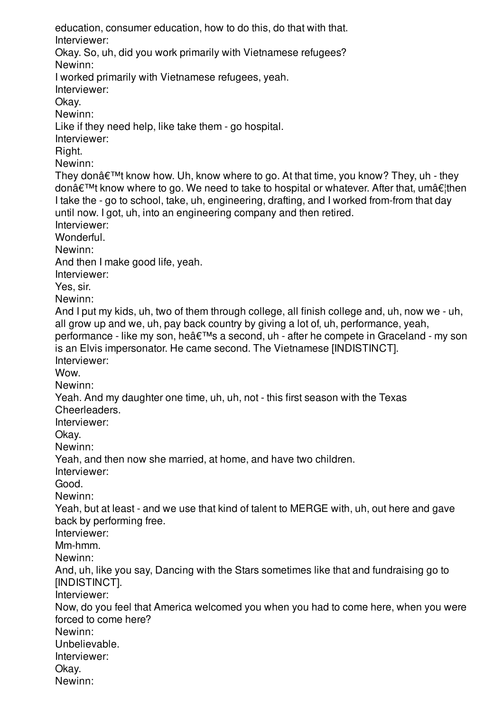education, consumer education, how to do this, do that with that. Interviewer: Okay. So, uh, did you work primarily with Vietnamese refugees? Newinn: I worked primarily with Vietnamese refugees, yeah. Interviewer: Okay. Newinn: Like if they need help, like take them - go hospital. Interviewer: Right. Newinn: They don $\hat{\mathcal{A}} \in \mathbb{M}$  know how. Uh, know where to go. At that time, you know? They, uh - they don $\hat{\mathbf{a}} \in \mathbb{M}$  know where to go. We need to take to hospital or whatever. After that, um $\hat{\mathbf{a}} \in \mathbb{N}$ I take the - go to school, take, uh, engineering, drafting, and I worked from-from that day until now. I got, uh, into an engineering company and then retired. Interviewer: Wonderful. Newinn: And then I make good life, yeah. Interviewer: Yes, sir. Newinn: And I put my kids, uh, two of them through college, all finish college and, uh, now we - uh, all grow up and we, uh, pay back country by giving a lot of, uh, performance, yeah, performance - like my son, he's a second, uh - after he compete in Graceland - my son is an Elvis impersonator. He came second. The Vietnamese [INDISTINCT]. Interviewer: Wow. Newinn: Yeah. And my daughter one time, uh, uh, not - this first season with the Texas Cheerleaders. Interviewer: Okay. Newinn: Yeah, and then now she married, at home, and have two children. Interviewer: Good. Newinn: Yeah, but at least - and we use that kind of talent to MERGE with, uh, out here and gave back by performing free. Interviewer: Mm-hmm. Newinn: And, uh, like you say, Dancing with the Stars sometimes like that and fundraising go to [INDISTINCT]. Interviewer: Now, do you feel that America welcomed you when you had to come here, when you were forced to come here? Newinn: Unbelievable. Interviewer: Okay. Newinn: